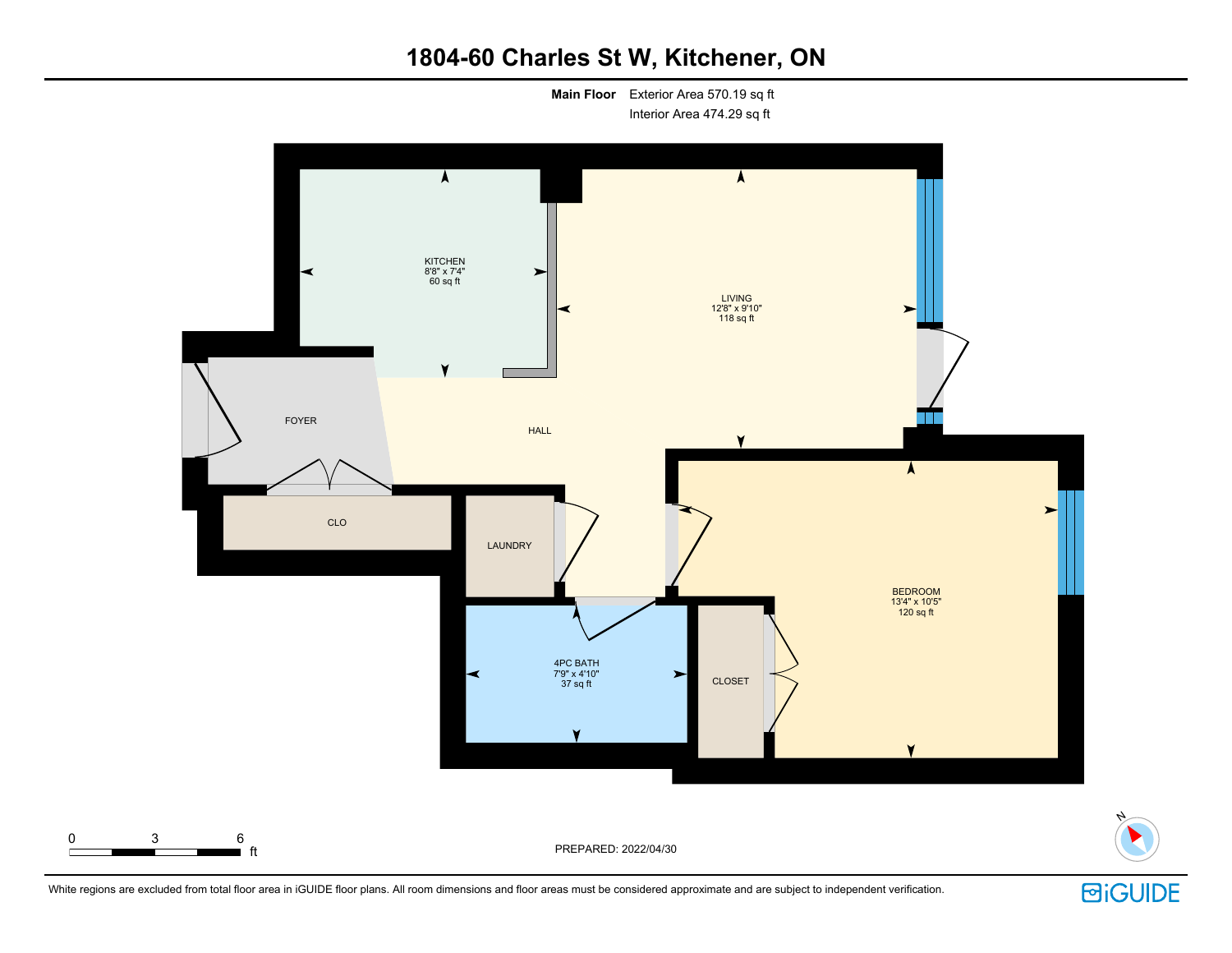# **1804-60 Charles St W, Kitchener, ON**

**Main Floor** Exterior Area 570.19 sq ft Interior Area 474.29 sq ft



White regions are excluded from total floor area in iGUIDE floor plans. All room dimensions and floor areas must be considered approximate and are subject to independent verification.

**回iGUIDE** 

N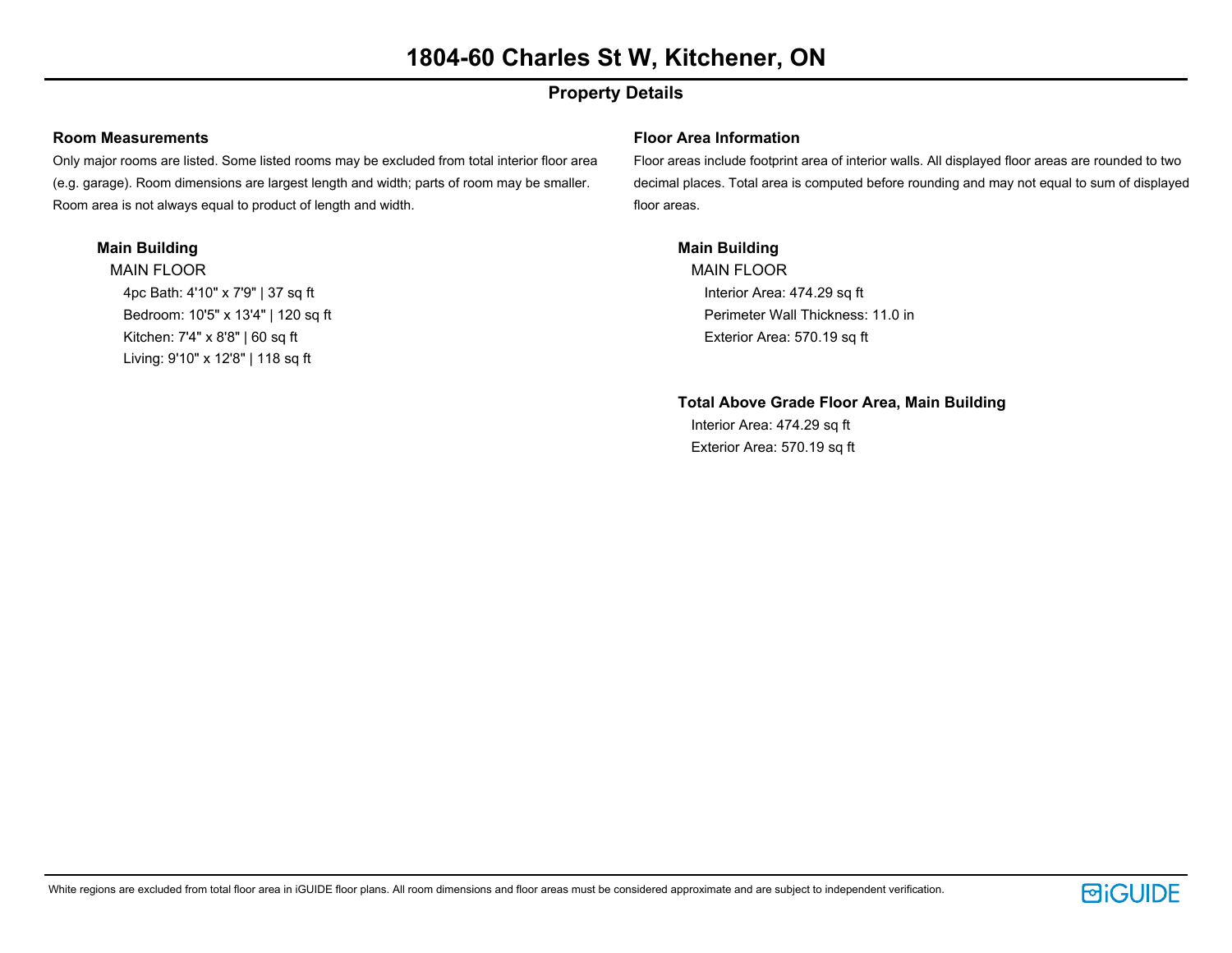## **Property Details**

### **Room Measurements**

Only major rooms are listed. Some listed rooms may be excluded from total interior floor area (e.g. garage). Room dimensions are largest length and width; parts of room may be smaller. Room area is not always equal to product of length and width.

### **Main Building**

MAIN FLOOR 4pc Bath: 4'10" x 7'9" | 37 sq ft Bedroom: 10'5" x 13'4" | 120 sq ft Kitchen: 7'4" x 8'8" | 60 sq ft Living: 9'10" x 12'8" | 118 sq ft

### **Floor Area Information**

Floor areas include footprint area of interior walls. All displayed floor areas are rounded to two decimal places. Total area is computed before rounding and may not equal to sum of displayed floor areas.

### **Main Building**

MAIN FLOOR Interior Area: 474.29 sq ft Perimeter Wall Thickness: 11.0 in Exterior Area: 570.19 sq ft

### **Total Above Grade Floor Area, Main Building**

Interior Area: 474.29 sq ft Exterior Area: 570.19 sq ft